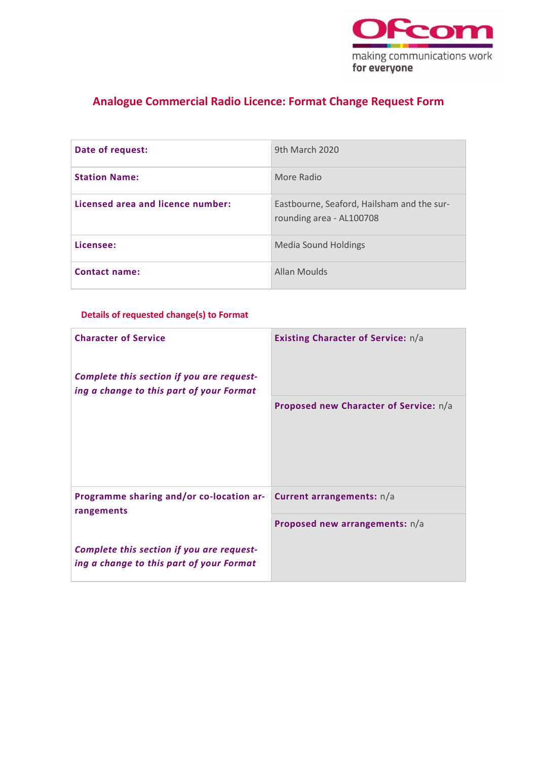

## **Analogue Commercial Radio Licence: Format Change Request Form**

| Date of request:                  | 9th March 2020                                                         |
|-----------------------------------|------------------------------------------------------------------------|
| <b>Station Name:</b>              | More Radio                                                             |
| Licensed area and licence number: | Eastbourne, Seaford, Hailsham and the sur-<br>rounding area - AL100708 |
| Licensee:                         | <b>Media Sound Holdings</b>                                            |
| <b>Contact name:</b>              | <b>Allan Moulds</b>                                                    |

### **Details of requested change(s) to Format**

| <b>Character of Service</b><br>Complete this section if you are request-<br>ing a change to this part of your Format | <b>Existing Character of Service:</b> n/a |
|----------------------------------------------------------------------------------------------------------------------|-------------------------------------------|
|                                                                                                                      | Proposed new Character of Service: n/a    |
| Programme sharing and/or co-location ar-<br>rangements                                                               | Current arrangements: n/a                 |
|                                                                                                                      | Proposed new arrangements: n/a            |
| Complete this section if you are request-<br>ing a change to this part of your Format                                |                                           |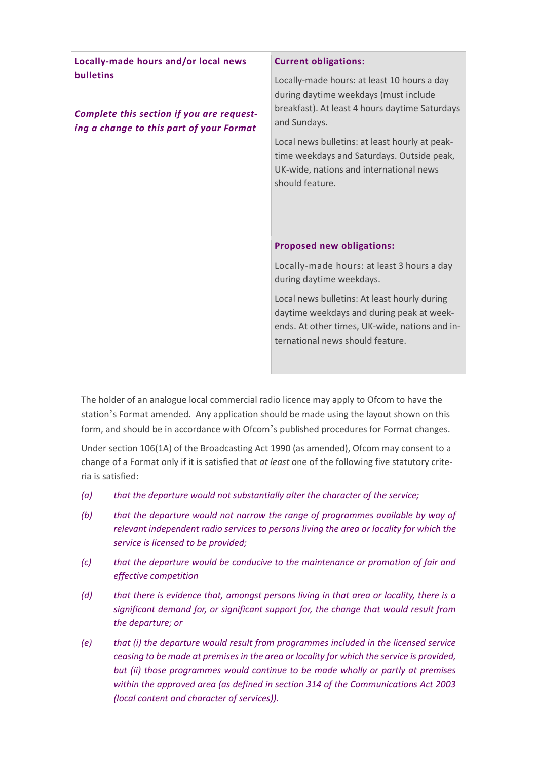| Locally-made hours and/or local news                                                                      | <b>Current obligations:</b>                                                                                                                                                     |
|-----------------------------------------------------------------------------------------------------------|---------------------------------------------------------------------------------------------------------------------------------------------------------------------------------|
| <b>bulletins</b><br>Complete this section if you are request-<br>ing a change to this part of your Format | Locally-made hours: at least 10 hours a day<br>during daytime weekdays (must include<br>breakfast). At least 4 hours daytime Saturdays<br>and Sundays.                          |
|                                                                                                           | Local news bulletins: at least hourly at peak-<br>time weekdays and Saturdays. Outside peak,<br>UK-wide, nations and international news<br>should feature.                      |
|                                                                                                           | <b>Proposed new obligations:</b>                                                                                                                                                |
|                                                                                                           | Locally-made hours: at least 3 hours a day<br>during daytime weekdays.                                                                                                          |
|                                                                                                           | Local news bulletins: At least hourly during<br>daytime weekdays and during peak at week-<br>ends. At other times, UK-wide, nations and in-<br>ternational news should feature. |

The holder of an analogue local commercial radio licence may apply to Ofcom to have the station's Format amended. Any application should be made using the layout shown on this form, and should be in accordance with Ofcom's published procedures for Format changes.

Under section 106(1A) of the Broadcasting Act 1990 (as amended), Ofcom may consent to a change of a Format only if it is satisfied that *at least* one of the following five statutory criteria is satisfied:

- *(a) that the departure would not substantially alter the character of the service;*
- *(b) that the departure would not narrow the range of programmes available by way of relevant independent radio services to persons living the area or locality for which the service is licensed to be provided;*
- *(c) that the departure would be conducive to the maintenance or promotion of fair and effective competition*
- *(d) that there is evidence that, amongst persons living in that area or locality, there is a significant demand for, or significant support for, the change that would result from the departure; or*
- *(e) that (i) the departure would result from programmes included in the licensed service ceasing to be made at premises in the area or locality for which the service is provided, but (ii) those programmes would continue to be made wholly or partly at premises within the approved area (as defined in section 314 of the Communications Act 2003 (local content and character of services)).*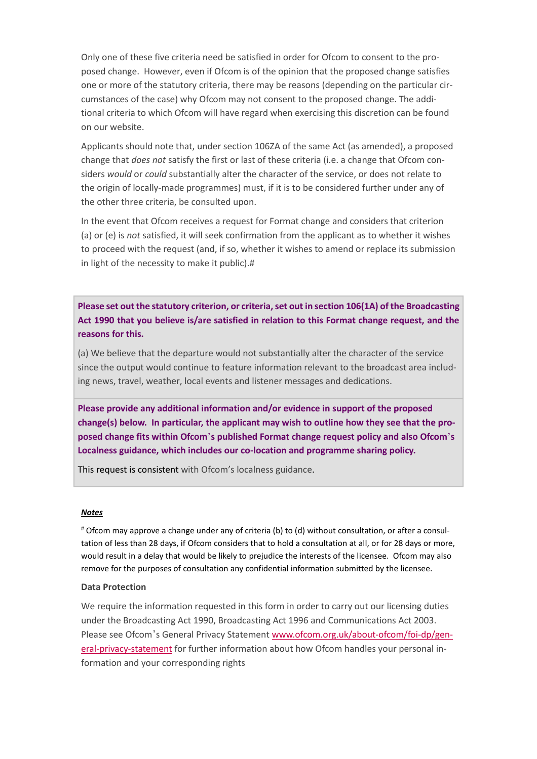Only one of these five criteria need be satisfied in order for Ofcom to consent to the proposed change. However, even if Ofcom is of the opinion that the proposed change satisfies one or more of the statutory criteria, there may be reasons (depending on the particular circumstances of the case) why Ofcom may not consent to the proposed change. The additional criteria to which Ofcom will have regard when exercising this discretion can be found on our website.

Applicants should note that, under section 106ZA of the same Act (as amended), a proposed change that *does not* satisfy the first or last of these criteria (i.e. a change that Ofcom considers *would* or *could* substantially alter the character of the service, or does not relate to the origin of locally-made programmes) must, if it is to be considered further under any of the other three criteria, be consulted upon.

In the event that Ofcom receives a request for Format change and considers that criterion (a) or (e) is *not* satisfied, it will seek confirmation from the applicant as to whether it wishes to proceed with the request (and, if so, whether it wishes to amend or replace its submission in light of the necessity to make it public).#

**Please set out the statutory criterion, or criteria, set out in section 106(1A) of the Broadcasting Act 1990 that you believe is/are satisfied in relation to this Format change request, and the reasons for this.**

(a) We believe that the departure would not substantially alter the character of the service since the output would continue to feature information relevant to the broadcast area including news, travel, weather, local events and listener messages and dedications.

**Please provide any additional information and/or evidence in support of the proposed change(s) below. In particular, the applicant may wish to outline how they see that the proposed change fits within Ofcom** '**s published Format change request policy and also Ofcom** '**s Localness guidance, which includes our co-location and programme sharing policy.** 

This request is consistent with Ofcom's localness guidance.

#### *Notes*

# Ofcom may approve a change under any of criteria (b) to (d) without consultation, or after a consultation of less than 28 days, if Ofcom considers that to hold a consultation at all, or for 28 days or more, would result in a delay that would be likely to prejudice the interests of the licensee. Ofcom may also remove for the purposes of consultation any confidential information submitted by the licensee.

### **Data Protection**

We require the information requested in this form in order to carry out our licensing duties under the Broadcasting Act 1990, Broadcasting Act 1996 and Communications Act 2003. Please see Ofcom's General Privacy Statement [www.ofcom.org.uk/about-ofcom/foi-dp/gen](https://ofcomuk.sharepoint.com/teams/rcbl_rl/ana/Licences/AL100708%20(formerly%20AL206)%20Eastbourne%20FM/Format%20change/www.ofcom.org.uk/about-ofcom/foi-dp/general-privacy-statement)[eral-privacy-statement](https://ofcomuk.sharepoint.com/teams/rcbl_rl/ana/Licences/AL100708%20(formerly%20AL206)%20Eastbourne%20FM/Format%20change/www.ofcom.org.uk/about-ofcom/foi-dp/general-privacy-statement) for further information about how Ofcom handles your personal information and your corresponding rights